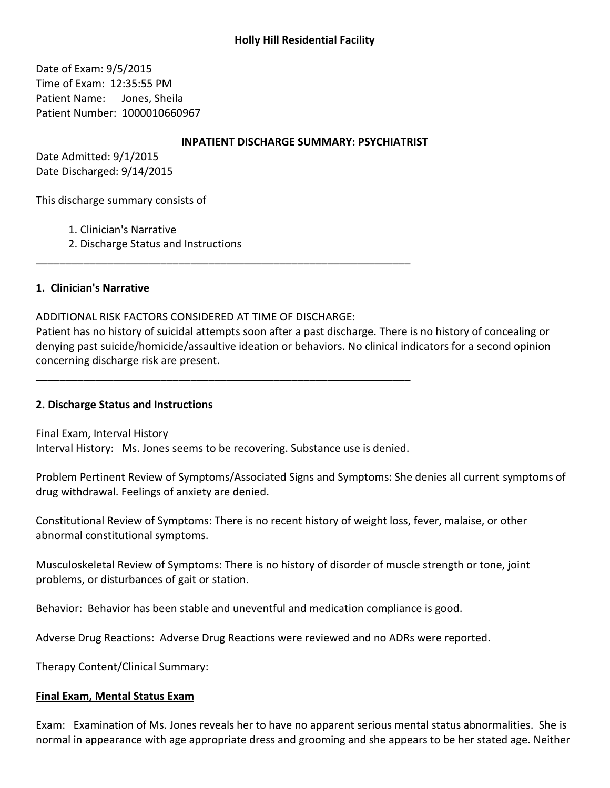# **Holly Hill Residential Facility**

Date of Exam: 9/5/2015 Time of Exam: 12:35:55 PM Patient Name: Jones, Sheila Patient Number: 1000010660967

#### **INPATIENT DISCHARGE SUMMARY: PSYCHIATRIST**

Date Admitted: 9/1/2015 Date Discharged: 9/14/2015

This discharge summary consists of

- 1. Clinician's Narrative
- 2. Discharge Status and Instructions

### 1. Clinician's Narrative

### ADDITIONAL RISK FACTORS CONSIDERED AT TIME OF DISCHARGE:

Patient has no history of suicidal attempts soon after a past discharge. There is no history of concealing or denying past suicide/homicide/assaultive ideation or behaviors. No clinical indicators for a second opinion concerning discharge risk are present.

## 2. Discharge Status and Instructions

Final Exam, Interval History Interval History: Ms. Jones seems to be recovering. Substance use is denied.

Problem Pertinent Review of Symptoms/Associated Signs and Symptoms: She denies all current symptoms of drug withdrawal. Feelings of anxiety are denied.

Constitutional Review of Symptoms: There is no recent history of weight loss, fever, malaise, or other abnormal constitutional symptoms.

Musculoskeletal Review of Symptoms: There is no history of disorder of muscle strength or tone, joint problems, or disturbances of gait or station.

Behavior: Behavior has been stable and uneventful and medication compliance is good.

Adverse Drug Reactions: Adverse Drug Reactions were reviewed and no ADRs were reported.

Therapy Content/Clinical Summary:

#### **Final Exam, Mental Status Exam**

Exam: Examination of Ms. Jones reveals her to have no apparent serious mental status abnormalities. She is normal in appearance with age appropriate dress and grooming and she appears to be her stated age. Neither